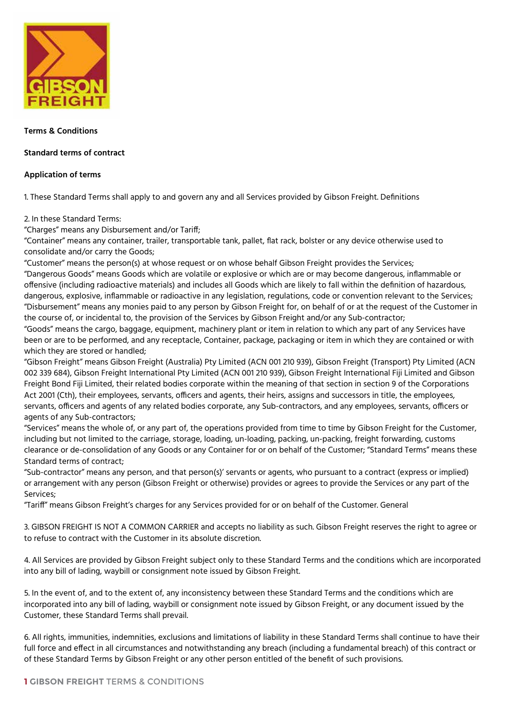

### **Terms & Conditions**

# **Standard terms of contract**

# **Application of terms**

1. These Standard Terms shall apply to and govern any and all Services provided by Gibson Freight. Definitions

## 2. In these Standard Terms:

"Charges" means any Disbursement and/or Tariff;

"Container" means any container, trailer, transportable tank, pallet, flat rack, bolster or any device otherwise used to consolidate and/or carry the Goods;

"Customer" means the person(s) at whose request or on whose behalf Gibson Freight provides the Services; "Dangerous Goods" means Goods which are volatile or explosive or which are or may become dangerous, inflammable or offensive (including radioactive materials) and includes all Goods which are likely to fall within the definition of hazardous, dangerous, explosive, inflammable or radioactive in any legislation, regulations, code or convention relevant to the Services; "Disbursement" means any monies paid to any person by Gibson Freight for, on behalf of or at the request of the Customer in the course of, or incidental to, the provision of the Services by Gibson Freight and/or any Sub-contractor;

"Goods" means the cargo, baggage, equipment, machinery plant or item in relation to which any part of any Services have been or are to be performed, and any receptacle, Container, package, packaging or item in which they are contained or with which they are stored or handled;

"Gibson Freight" means Gibson Freight (Australia) Pty Limited (ACN 001 210 939), Gibson Freight (Transport) Pty Limited (ACN 002 339 684), Gibson Freight International Pty Limited (ACN 001 210 939), Gibson Freight International Fiji Limited and Gibson Freight Bond Fiji Limited, their related bodies corporate within the meaning of that section in section 9 of the Corporations Act 2001 (Cth), their employees, servants, officers and agents, their heirs, assigns and successors in title, the employees, servants, officers and agents of any related bodies corporate, any Sub-contractors, and any employees, servants, officers or agents of any Sub-contractors;

"Services" means the whole of, or any part of, the operations provided from time to time by Gibson Freight for the Customer, including but not limited to the carriage, storage, loading, un-loading, packing, un-packing, freight forwarding, customs clearance or de-consolidation of any Goods or any Container for or on behalf of the Customer; "Standard Terms" means these Standard terms of contract;

"Sub-contractor" means any person, and that person(s)' servants or agents, who pursuant to a contract (express or implied) or arrangement with any person (Gibson Freight or otherwise) provides or agrees to provide the Services or any part of the Services;

"Tariff" means Gibson Freight's charges for any Services provided for or on behalf of the Customer. General

3. GIBSON FREIGHT IS NOT A COMMON CARRIER and accepts no liability as such. Gibson Freight reserves the right to agree or to refuse to contract with the Customer in its absolute discretion.

4. All Services are provided by Gibson Freight subject only to these Standard Terms and the conditions which are incorporated into any bill of lading, waybill or consignment note issued by Gibson Freight.

5. In the event of, and to the extent of, any inconsistency between these Standard Terms and the conditions which are incorporated into any bill of lading, waybill or consignment note issued by Gibson Freight, or any document issued by the Customer, these Standard Terms shall prevail.

6. All rights, immunities, indemnities, exclusions and limitations of liability in these Standard Terms shall continue to have their full force and effect in all circumstances and notwithstanding any breach (including a fundamental breach) of this contract or of these Standard Terms by Gibson Freight or any other person entitled of the benefit of such provisions.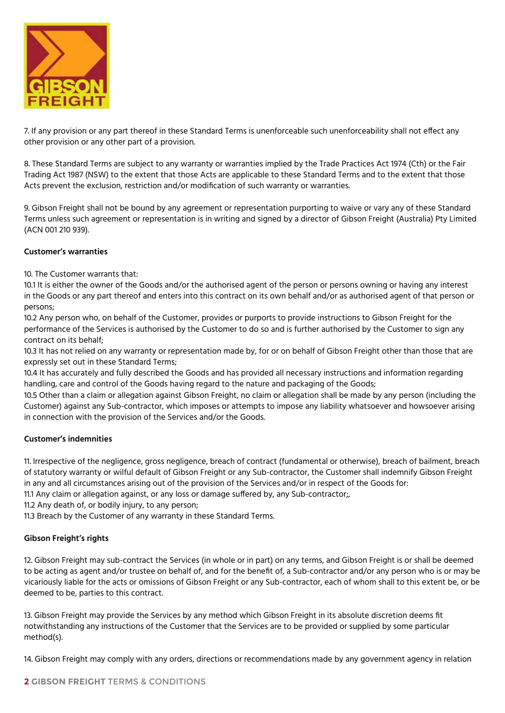

7. If any provision or any part thereof in these Standard Terms is unenforceable such unenforceability shall not effect any other provision or any other part of a provision.

8. These Standard Terms are subject to any warranty or warranties implied by the Trade Practices Act 1974 (Cth) or the Fair Trading Act 1987 (NSW) to the extent that those Acts are applicable to these Standard Terms and to the extent that those Acts prevent the exclusion, restriction and/or modification of such warranty or warranties.

9. Gibson Freight shall not be bound by any agreement or representation purporting to waive or vary any of these Standard Terms unless such agreement or representation is in writing and signed by a director of Gibson Freight (Australia) Pty Limited (ACN 001 210 939).

## **Customer's warranties**

10. The Customer warrants that:

10.1 It is either the owner of the Goods and/or the authorised agent of the person or persons owning or having any interest in the Goods or any part thereof and enters into this contract on its own behalf and/or as authorised agent of that person or persons;

10.2 Any person who, on behalf of the Customer, provides or purports to provide instructions to Gibson Freight for the performance of the Services is authorised by the Customer to do so and is further authorised by the Customer to sign any contract on its behalf;

10.3 It has not relied on any warranty or representation made by, for or on behalf of Gibson Freight other than those that are expressly set out in these Standard Terms;

10.4 It has accurately and fully described the Goods and has provided all necessary instructions and information regarding handling, care and control of the Goods having regard to the nature and packaging of the Goods;

10.5 Other than a claim or allegation against Gibson Freight, no claim or allegation shall be made by any person (including the Customer) against any Sub-contractor, which imposes or attempts to impose any liability whatsoever and howsoever arising in connection with the provision of the Services and/or the Goods.

# **Customer's indemnities**

11. Irrespective of the negligence, gross negligence, breach of contract (fundamental or otherwise), breach of bailment, breach of statutory warranty or wilful default of Gibson Freight or any Sub-contractor, the Customer shall indemnify Gibson Freight in any and all circumstances arising out of the provision of the Services and/or in respect of the Goods for:

11.1 Any claim or allegation against, or any loss or damage suffered by, any Sub-contractor;,

11.2 Any death of, or bodily injury, to any person;

11.3 Breach by the Customer of any warranty in these Standard Terms.

### **Gibson Freight's rights**

12. Gibson Freight may sub-contract the Services (in whole or in part) on any terms, and Gibson Freight is or shall be deemed to be acting as agent and/or trustee on behalf of, and for the benefit of, a Sub-contractor and/or any person who is or may be vicariously liable for the acts or omissions of Gibson Freight or any Sub-contractor, each of whom shall to this extent be, or be deemed to be, parties to this contract.

13. Gibson Freight may provide the Services by any method which Gibson Freight in its absolute discretion deems fit notwithstanding any instructions of the Customer that the Services are to be provided or supplied by some particular method(s).

14. Gibson Freight may comply with any orders, directions or recommendations made by any government agency in relation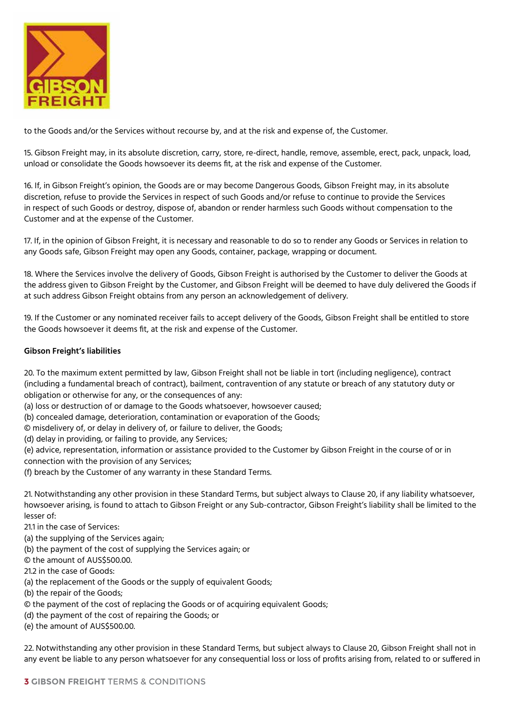

to the Goods and/or the Services without recourse by, and at the risk and expense of, the Customer.

15. Gibson Freight may, in its absolute discretion, carry, store, re-direct, handle, remove, assemble, erect, pack, unpack, load, unload or consolidate the Goods howsoever its deems fit, at the risk and expense of the Customer.

16. If, in Gibson Freight's opinion, the Goods are or may become Dangerous Goods, Gibson Freight may, in its absolute discretion, refuse to provide the Services in respect of such Goods and/or refuse to continue to provide the Services in respect of such Goods or destroy, dispose of, abandon or render harmless such Goods without compensation to the Customer and at the expense of the Customer.

17. If, in the opinion of Gibson Freight, it is necessary and reasonable to do so to render any Goods or Services in relation to any Goods safe, Gibson Freight may open any Goods, container, package, wrapping or document.

18. Where the Services involve the delivery of Goods, Gibson Freight is authorised by the Customer to deliver the Goods at the address given to Gibson Freight by the Customer, and Gibson Freight will be deemed to have duly delivered the Goods if at such address Gibson Freight obtains from any person an acknowledgement of delivery.

19. If the Customer or any nominated receiver fails to accept delivery of the Goods, Gibson Freight shall be entitled to store the Goods howsoever it deems fit, at the risk and expense of the Customer.

## **Gibson Freight's liabilities**

20. To the maximum extent permitted by law, Gibson Freight shall not be liable in tort (including negligence), contract (including a fundamental breach of contract), bailment, contravention of any statute or breach of any statutory duty or obligation or otherwise for any, or the consequences of any:

(a) loss or destruction of or damage to the Goods whatsoever, howsoever caused;

(b) concealed damage, deterioration, contamination or evaporation of the Goods;

© misdelivery of, or delay in delivery of, or failure to deliver, the Goods;

(d) delay in providing, or failing to provide, any Services;

(e) advice, representation, information or assistance provided to the Customer by Gibson Freight in the course of or in connection with the provision of any Services;

(f) breach by the Customer of any warranty in these Standard Terms.

21. Notwithstanding any other provision in these Standard Terms, but subject always to Clause 20, if any liability whatsoever, howsoever arising, is found to attach to Gibson Freight or any Sub-contractor, Gibson Freight's liability shall be limited to the lesser of:

21.1 in the case of Services:

- (a) the supplying of the Services again;
- (b) the payment of the cost of supplying the Services again; or
- © the amount of AUS\$500.00.
- 21.2 in the case of Goods:
- (a) the replacement of the Goods or the supply of equivalent Goods;
- (b) the repair of the Goods;
- © the payment of the cost of replacing the Goods or of acquiring equivalent Goods;
- (d) the payment of the cost of repairing the Goods; or
- (e) the amount of AUS\$500.00.

22. Notwithstanding any other provision in these Standard Terms, but subject always to Clause 20, Gibson Freight shall not in any event be liable to any person whatsoever for any consequential loss or loss of profits arising from, related to or suffered in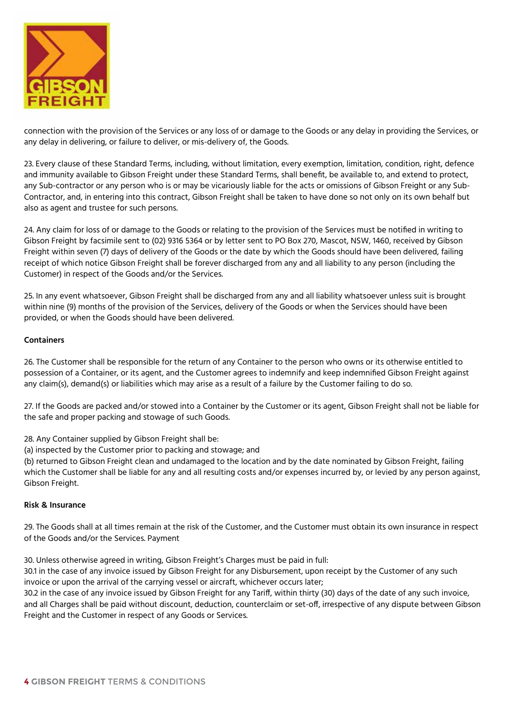

connection with the provision of the Services or any loss of or damage to the Goods or any delay in providing the Services, or any delay in delivering, or failure to deliver, or mis-delivery of, the Goods.

23. Every clause of these Standard Terms, including, without limitation, every exemption, limitation, condition, right, defence and immunity available to Gibson Freight under these Standard Terms, shall benefit, be available to, and extend to protect, any Sub-contractor or any person who is or may be vicariously liable for the acts or omissions of Gibson Freight or any Sub-Contractor, and, in entering into this contract, Gibson Freight shall be taken to have done so not only on its own behalf but also as agent and trustee for such persons.

24. Any claim for loss of or damage to the Goods or relating to the provision of the Services must be notified in writing to Gibson Freight by facsimile sent to (02) 9316 5364 or by letter sent to PO Box 270, Mascot, NSW, 1460, received by Gibson Freight within seven (7) days of delivery of the Goods or the date by which the Goods should have been delivered, failing receipt of which notice Gibson Freight shall be forever discharged from any and all liability to any person (including the Customer) in respect of the Goods and/or the Services.

25. In any event whatsoever, Gibson Freight shall be discharged from any and all liability whatsoever unless suit is brought within nine (9) months of the provision of the Services, delivery of the Goods or when the Services should have been provided, or when the Goods should have been delivered.

## **Containers**

26. The Customer shall be responsible for the return of any Container to the person who owns or its otherwise entitled to possession of a Container, or its agent, and the Customer agrees to indemnify and keep indemnified Gibson Freight against any claim(s), demand(s) or liabilities which may arise as a result of a failure by the Customer failing to do so.

27. If the Goods are packed and/or stowed into a Container by the Customer or its agent, Gibson Freight shall not be liable for the safe and proper packing and stowage of such Goods.

28. Any Container supplied by Gibson Freight shall be:

(a) inspected by the Customer prior to packing and stowage; and

(b) returned to Gibson Freight clean and undamaged to the location and by the date nominated by Gibson Freight, failing which the Customer shall be liable for any and all resulting costs and/or expenses incurred by, or levied by any person against, Gibson Freight.

### **Risk & Insurance**

29. The Goods shall at all times remain at the risk of the Customer, and the Customer must obtain its own insurance in respect of the Goods and/or the Services. Payment

30. Unless otherwise agreed in writing, Gibson Freight's Charges must be paid in full:

30.1 in the case of any invoice issued by Gibson Freight for any Disbursement, upon receipt by the Customer of any such invoice or upon the arrival of the carrying vessel or aircraft, whichever occurs later;

30.2 in the case of any invoice issued by Gibson Freight for any Tariff, within thirty (30) days of the date of any such invoice, and all Charges shall be paid without discount, deduction, counterclaim or set-off, irrespective of any dispute between Gibson Freight and the Customer in respect of any Goods or Services.